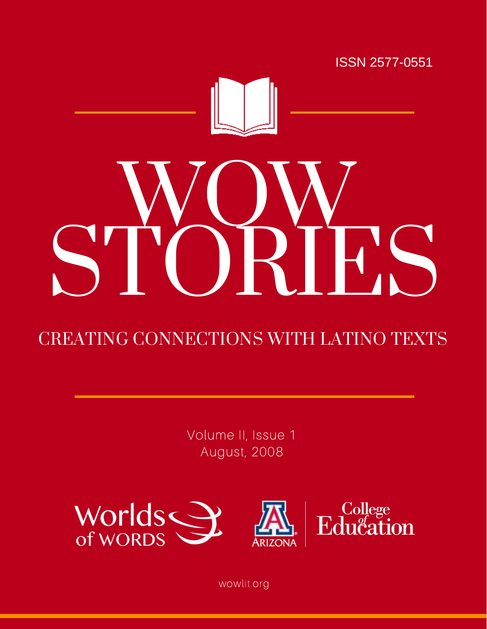

# CREATING CONNECTIONS WITH LATINO TEXTS

Volume II, Issue 1 August, 2008



wowlit.org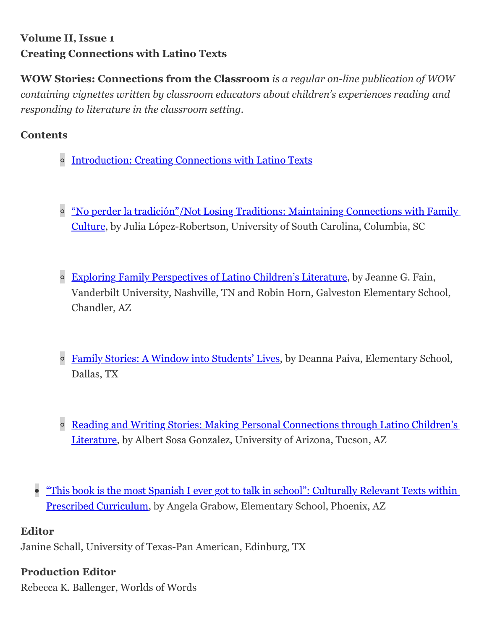# **Volume II, Issue 1 Creating Connections with Latino Texts**

**WOW Stories: Connections from the Classroom** *is a regular on-line publication of WOW containing vignettes written by classroom educators about children's experiences reading and responding to literature in the classroom setting.*

#### **Contents**

- o [Introduction: Creating Connections with Latino Texts](http://wowlit.org/on-line-publications/stories/storiesii1/2/)
- <sup>o</sup> ["No perder la tradición"/Not Losing Traditions: Maintaining Connections with Family](http://wowlit.org/on-line-publications/stories/storiesii1/3/) Culture, by Julia López-Robertson, University of South Carolina, Columbia, SC
- <sup>o</sup> [Exploring Family Perspectives of Latino Children's Literature,](http://wowlit.org/on-line-publications/stories/storiesii1/4/) by Jeanne G. Fain, Vanderbilt University, Nashville, TN and Robin Horn, Galveston Elementary School, Chandler, AZ
- <sup>o</sup> [Family Stories: A Window into Students' Lives](http://wowlit.org/on-line-publications/stories/storiesii1/5/), by Deanna Paiva, Elementary School, Dallas, TX
- <sup>o</sup> [Reading and Writing Stories: Making Personal Connections through Latino Children's](http://wowlit.org/on-line-publications/stories/storiesii1/6/) Literature, by Albert Sosa Gonzalez, University of Arizona, Tucson, AZ
- ["This book is the most Spanish I ever got to talk in school": Culturally Relevant Texts within](http://wowlit.org/on-line-publications/stories/storiesii1/7/) Prescribed Curriculum, by Angela Grabow, Elementary School, Phoenix, AZ

#### **Editor**

Janine Schall, University of Texas-Pan American, Edinburg, TX

#### **Production Editor**

Rebecca K. Ballenger, Worlds of Words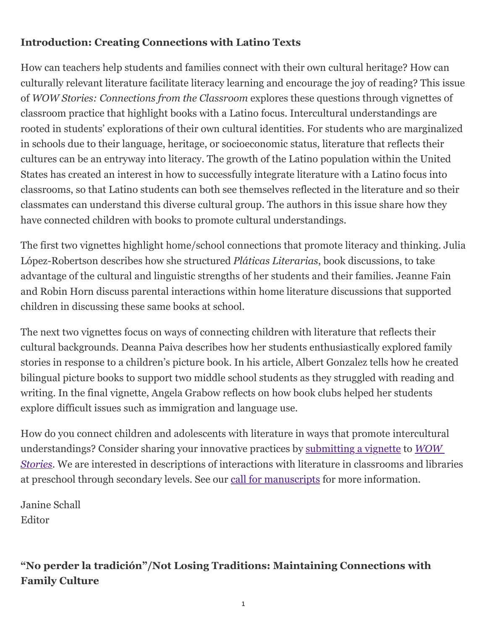## **Introduction: Creating Connections with Latino Texts**

How can teachers help students and families connect with their own cultural heritage? How can culturally relevant literature facilitate literacy learning and encourage the joy of reading? This issue of *WOW Stories: Connections from the Classroom* explores these questions through vignettes of classroom practice that highlight books with a Latino focus. Intercultural understandings are rooted in students' explorations of their own cultural identities. For students who are marginalized in schools due to their language, heritage, or socioeconomic status, literature that reflects their cultures can be an entryway into literacy. The growth of the Latino population within the United States has created an interest in how to successfully integrate literature with a Latino focus into classrooms, so that Latino students can both see themselves reflected in the literature and so their classmates can understand this diverse cultural group. The authors in this issue share how they have connected children with books to promote cultural understandings.

The first two vignettes highlight home/school connections that promote literacy and thinking. Julia López-Robertson describes how she structured *Pláticas Literarias*, book discussions, to take advantage of the cultural and linguistic strengths of her students and their families. Jeanne Fain and Robin Horn discuss parental interactions within home literature discussions that supported children in discussing these same books at school.

The next two vignettes focus on ways of connecting children with literature that reflects their cultural backgrounds. Deanna Paiva describes how her students enthusiastically explored family stories in response to a children's picture book. In his article, Albert Gonzalez tells how he created bilingual picture books to support two middle school students as they struggled with reading and writing. In the final vignette, Angela Grabow reflects on how book clubs helped her students explore difficult issues such as immigration and language use.

How do you connect children and adolescents with literature in ways that promote intercultural [understandings? Consider sharing your innovative practices by](http://wowlit.org/on-line-publications/stories/) [submitting a vignett](http://wowlit.org/on-line-publications/stories/storiesguide/)[e to](http://wowlit.org/on-line-publications/stories/) *WOW Stories*. We are interested in descriptions of interactions with literature in classrooms and libraries at preschool through secondary levels. See our [call for manuscripts](http://wowlit.org/on-line-publications/stories/storiesguide/) for more information.

Janine Schall Editor

# **"No perder la tradición"/Not Losing Traditions: Maintaining Connections with Family Culture**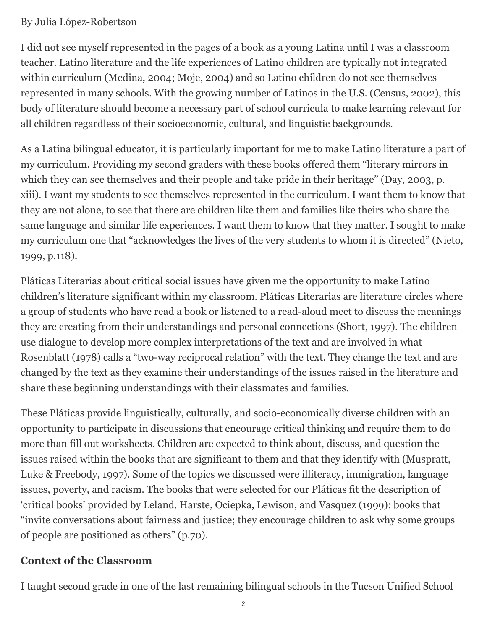#### By Julia López-Robertson

I did not see myself represented in the pages of a book as a young Latina until I was a classroom teacher. Latino literature and the life experiences of Latino children are typically not integrated within curriculum (Medina, 2004; Moje, 2004) and so Latino children do not see themselves represented in many schools. With the growing number of Latinos in the U.S. (Census, 2002), this body of literature should become a necessary part of school curricula to make learning relevant for all children regardless of their socioeconomic, cultural, and linguistic backgrounds.

As a Latina bilingual educator, it is particularly important for me to make Latino literature a part of my curriculum. Providing my second graders with these books offered them "literary mirrors in which they can see themselves and their people and take pride in their heritage" (Day, 2003, p. xiii). I want my students to see themselves represented in the curriculum. I want them to know that they are not alone, to see that there are children like them and families like theirs who share the same language and similar life experiences. I want them to know that they matter. I sought to make my curriculum one that "acknowledges the lives of the very students to whom it is directed" (Nieto, 1999, p.118).

Pláticas Literarias about critical social issues have given me the opportunity to make Latino children's literature significant within my classroom. Pláticas Literarias are literature circles where a group of students who have read a book or listened to a read-aloud meet to discuss the meanings they are creating from their understandings and personal connections (Short, 1997). The children use dialogue to develop more complex interpretations of the text and are involved in what Rosenblatt (1978) calls a "two-way reciprocal relation" with the text. They change the text and are changed by the text as they examine their understandings of the issues raised in the literature and share these beginning understandings with their classmates and families.

These Pláticas provide linguistically, culturally, and socio-economically diverse children with an opportunity to participate in discussions that encourage critical thinking and require them to do more than fill out worksheets. Children are expected to think about, discuss, and question the issues raised within the books that are significant to them and that they identify with (Muspratt, Luke & Freebody, 1997). Some of the topics we discussed were illiteracy, immigration, language issues, poverty, and racism. The books that were selected for our Pláticas fit the description of 'critical books' provided by Leland, Harste, Ociepka, Lewison, and Vasquez (1999): books that "invite conversations about fairness and justice; they encourage children to ask why some groups of people are positioned as others" (p.70).

## **Context of the Classroom**

I taught second grade in one of the last remaining bilingual schools in the Tucson Unified School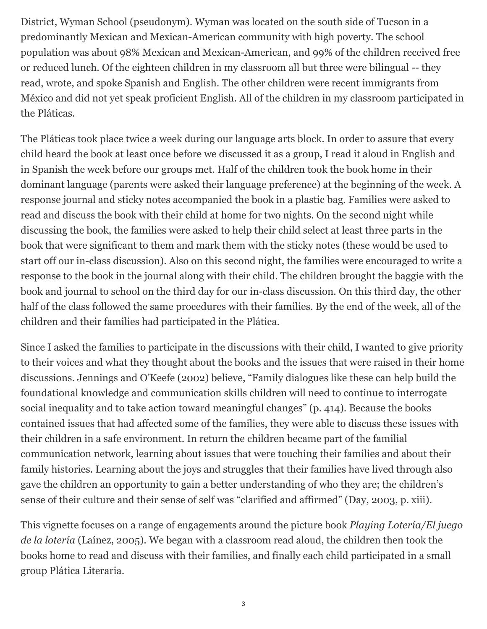District, Wyman School (pseudonym). Wyman was located on the south side of Tucson in a predominantly Mexican and Mexican-American community with high poverty. The school population was about 98% Mexican and Mexican-American, and 99% of the children received free or reduced lunch. Of the eighteen children in my classroom all but three were bilingual -- they read, wrote, and spoke Spanish and English. The other children were recent immigrants from México and did not yet speak proficient English. All of the children in my classroom participated in the Pláticas.

The Pláticas took place twice a week during our language arts block. In order to assure that every child heard the book at least once before we discussed it as a group, I read it aloud in English and in Spanish the week before our groups met. Half of the children took the book home in their dominant language (parents were asked their language preference) at the beginning of the week. A response journal and sticky notes accompanied the book in a plastic bag. Families were asked to read and discuss the book with their child at home for two nights. On the second night while discussing the book, the families were asked to help their child select at least three parts in the book that were significant to them and mark them with the sticky notes (these would be used to start off our in-class discussion). Also on this second night, the families were encouraged to write a response to the book in the journal along with their child. The children brought the baggie with the book and journal to school on the third day for our in-class discussion. On this third day, the other half of the class followed the same procedures with their families. By the end of the week, all of the children and their families had participated in the Plática.

Since I asked the families to participate in the discussions with their child, I wanted to give priority to their voices and what they thought about the books and the issues that were raised in their home discussions. Jennings and O'Keefe (2002) believe, "Family dialogues like these can help build the foundational knowledge and communication skills children will need to continue to interrogate social inequality and to take action toward meaningful changes" (p. 414). Because the books contained issues that had affected some of the families, they were able to discuss these issues with their children in a safe environment. In return the children became part of the familial communication network, learning about issues that were touching their families and about their family histories. Learning about the joys and struggles that their families have lived through also gave the children an opportunity to gain a better understanding of who they are; the children's sense of their culture and their sense of self was "clarified and affirmed" (Day, 2003, p. xiii).

This vignette focuses on a range of engagements around the picture book *Playing Lotería/El juego de la lotería* (Laínez, 2005). We began with a classroom read aloud, the children then took the books home to read and discuss with their families, and finally each child participated in a small group Plática Literaria.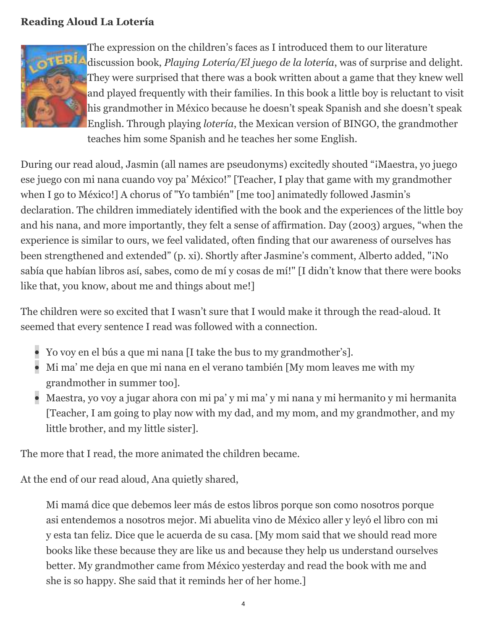#### **Reading Aloud La Lotería**



The expression on the children's faces as I introduced them to our literature discussion book, *Playing Lotería/El juego de la lotería*, was of surprise and delight. They were surprised that there was a book written about a game that they knew well and played frequently with their families. In this book a little boy is reluctant to visit his grandmother in México because he doesn't speak Spanish and she doesn't speak English. Through playing *lotería*, the Mexican version of BINGO, the grandmother teaches him some Spanish and he teaches her some English.

During our read aloud, Jasmin (all names are pseudonyms) excitedly shouted "¡Maestra, yo juego ese juego con mi nana cuando voy pa' México!" [Teacher, I play that game with my grandmother when I go to México!] A chorus of "Yo también" [me too] animatedly followed Jasmin's declaration. The children immediately identified with the book and the experiences of the little boy and his nana, and more importantly, they felt a sense of affirmation. Day (2003) argues, "when the experience is similar to ours, we feel validated, often finding that our awareness of ourselves has been strengthened and extended" (p. xi). Shortly after Jasmine's comment, Alberto added, "¡No sabía que habían libros así, sabes, como de mí y cosas de mí!" [I didn't know that there were books like that, you know, about me and things about me!]

The children were so excited that I wasn't sure that I would make it through the read-aloud. It seemed that every sentence I read was followed with a connection.

- Yo voy en el bús a que mi nana [I take the bus to my grandmother's].
- Mi ma' me deja en que mi nana en el verano también [My mom leaves me with my grandmother in summer too].
- Maestra, yo voy a jugar ahora con mi pa' y mi ma' y mi nana y mi hermanito y mi hermanita [Teacher, I am going to play now with my dad, and my mom, and my grandmother, and my little brother, and my little sister].

The more that I read, the more animated the children became.

At the end of our read aloud, Ana quietly shared,

Mi mamá dice que debemos leer más de estos libros porque son como nosotros porque asi entendemos a nosotros mejor. Mi abuelita vino de México aller y leyó el libro con mi y esta tan feliz. Dice que le acuerda de su casa. [My mom said that we should read more books like these because they are like us and because they help us understand ourselves better. My grandmother came from México yesterday and read the book with me and she is so happy. She said that it reminds her of her home.]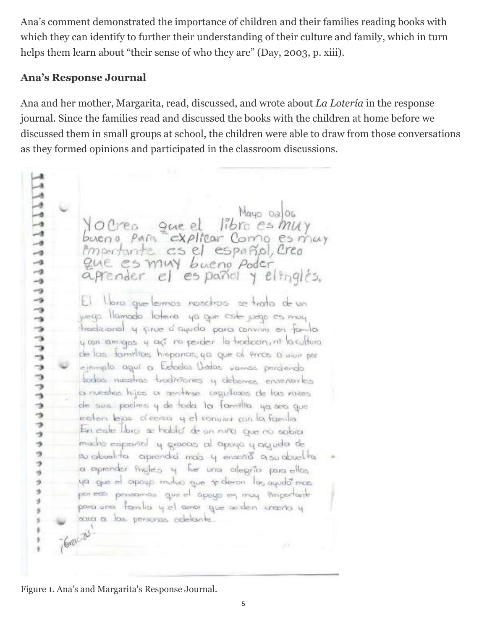Ana's comment demonstrated the importance of children and their families reading books with which they can identify to further their understanding of their culture and family, which in turn helps them learn about "their sense of who they are" (Day, 2003, p. xiii).

#### **Ana's Response Journal**

Ana and her mother, Margarita, read, discussed, and wrote about *La Lotería* in the response journal. Since the families read and discussed the books with the children at home before we discussed them in small groups at school, the children were able to draw from those conversations as they formed opinions and participated in the classroom discussions.

Mayo 02 06 libro es muy Yourea gue el bueno para *c*xplicar Como esmay  $\rightarrow$ importante cs el español, Creo  $\rightarrow$  $\rightarrow$ Que es muy bueno poder  $\rightarrow$ agrender el español y elinglés.  $-9$ -9  $-9$ El lloro que leimos nosciros se trata de un -9 juego llamado lotero ya que este juego es moy  $-9$ thodicional y since o aquala para convivir en famila  $\rightarrow$ ÷, ween amigas y así no perder la trodecon, ni la cultura  $\frac{1}{2}$ de las familias hispanas, ya que al Prica a viui por -s ejemplo aguí a Estados Undos vamos perdiendo ٠ bodico nuestras broditáriones y deberros enseñarles  $\rightarrow$ la nuestras hijos o aentrose, orgallosos de las raises  $\overline{\phantom{a}}$ de sus padres y de toda la familia ya sea que  $\rightarrow$ э esten lejas d'oerca y el conviur con la familia  $\rightarrow$ En cale libro: se hablo' de un niño, que na sobia.  $\rightarrow$ mucho español y grados al opoyo y accudo de ä э su abuel to aprendrá más y ensaño a su douel ta a opender fingles y fue una alegría para ellas ya gue el apogo muluo que se deron los ayudo mas 歩  $\mathfrak{q}$ por een personnos que el apoyo en moy Proportante  $\mathcal{I}$ povoi unos familios y el amor que seden cranto y nata a los personas adelante. Green as 9

Figure 1. Ana's and Margarita's Response Journal.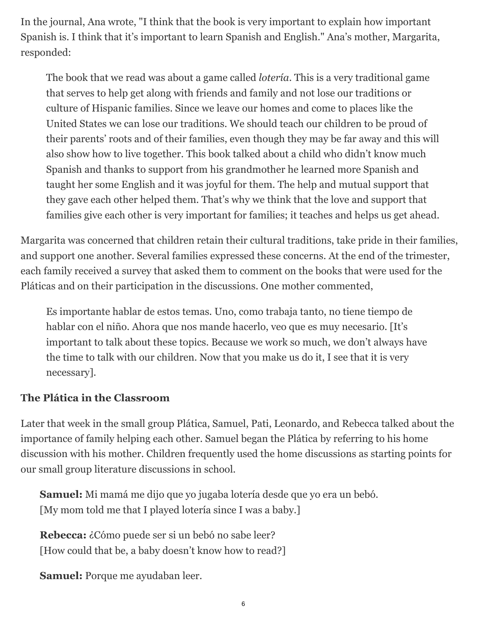In the journal, Ana wrote, "I think that the book is very important to explain how important Spanish is. I think that it's important to learn Spanish and English." Ana's mother, Margarita, responded:

The book that we read was about a game called *lotería*. This is a very traditional game that serves to help get along with friends and family and not lose our traditions or culture of Hispanic families. Since we leave our homes and come to places like the United States we can lose our traditions. We should teach our children to be proud of their parents' roots and of their families, even though they may be far away and this will also show how to live together. This book talked about a child who didn't know much Spanish and thanks to support from his grandmother he learned more Spanish and taught her some English and it was joyful for them. The help and mutual support that they gave each other helped them. That's why we think that the love and support that families give each other is very important for families; it teaches and helps us get ahead.

Margarita was concerned that children retain their cultural traditions, take pride in their families, and support one another. Several families expressed these concerns. At the end of the trimester, each family received a survey that asked them to comment on the books that were used for the Pláticas and on their participation in the discussions. One mother commented,

Es importante hablar de estos temas. Uno, como trabaja tanto, no tiene tiempo de hablar con el niño. Ahora que nos mande hacerlo, veo que es muy necesario. [It's important to talk about these topics. Because we work so much, we don't always have the time to talk with our children. Now that you make us do it, I see that it is very necessary].

#### **The Plática in the Classroom**

Later that week in the small group Plática, Samuel, Pati, Leonardo, and Rebecca talked about the importance of family helping each other. Samuel began the Plática by referring to his home discussion with his mother. Children frequently used the home discussions as starting points for our small group literature discussions in school.

**Samuel:** Mi mamá me dijo que yo jugaba lotería desde que yo era un bebó. [My mom told me that I played lotería since I was a baby.]

**Rebecca:** ¿Cómo puede ser si un bebó no sabe leer? [How could that be, a baby doesn't know how to read?]

**Samuel:** Porque me ayudaban leer.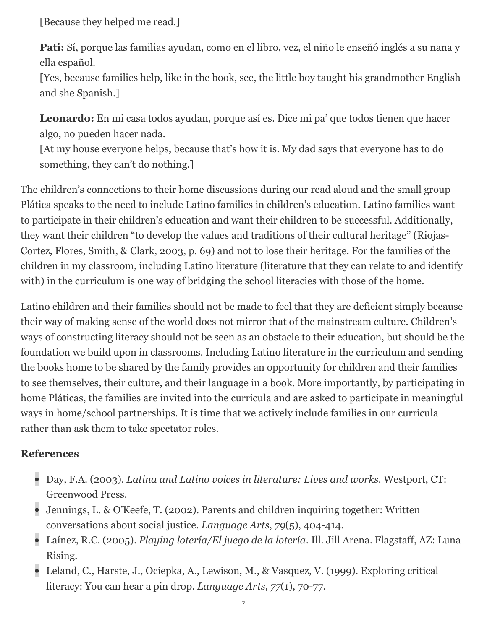[Because they helped me read.]

**Pati:** Sí, porque las familias ayudan, como en el libro, vez, el niño le enseñó inglés a su nana y ella español.

[Yes, because families help, like in the book, see, the little boy taught his grandmother English and she Spanish.]

**Leonardo:** En mi casa todos ayudan, porque así es. Dice mi pa' que todos tienen que hacer algo, no pueden hacer nada.

[At my house everyone helps, because that's how it is. My dad says that everyone has to do something, they can't do nothing.]

The children's connections to their home discussions during our read aloud and the small group Plática speaks to the need to include Latino families in children's education. Latino families want to participate in their children's education and want their children to be successful. Additionally, they want their children "to develop the values and traditions of their cultural heritage" (Riojas-Cortez, Flores, Smith, & Clark, 2003, p. 69) and not to lose their heritage. For the families of the children in my classroom, including Latino literature (literature that they can relate to and identify with) in the curriculum is one way of bridging the school literacies with those of the home.

Latino children and their families should not be made to feel that they are deficient simply because their way of making sense of the world does not mirror that of the mainstream culture. Children's ways of constructing literacy should not be seen as an obstacle to their education, but should be the foundation we build upon in classrooms. Including Latino literature in the curriculum and sending the books home to be shared by the family provides an opportunity for children and their families to see themselves, their culture, and their language in a book. More importantly, by participating in home Pláticas, the families are invited into the curricula and are asked to participate in meaningful ways in home/school partnerships. It is time that we actively include families in our curricula rather than ask them to take spectator roles.

#### **References**

- Day, F.A. (2003). *Latina and Latino voices in literature: Lives and works*. Westport, CT: Greenwood Press.
- Jennings, L. & O'Keefe, T. (2002). Parents and children inquiring together: Written conversations about social justice. *Language Arts*, *79*(5), 404-414.
- Laínez, R.C. (2005). *Playing lotería/El juego de la lotería*. Ill. Jill Arena. Flagstaff, AZ: Luna Rising.
- Leland, C., Harste, J., Ociepka, A., Lewison, M., & Vasquez, V. (1999). Exploring critical literacy: You can hear a pin drop. *Language Arts*, *77*(1), 70-77.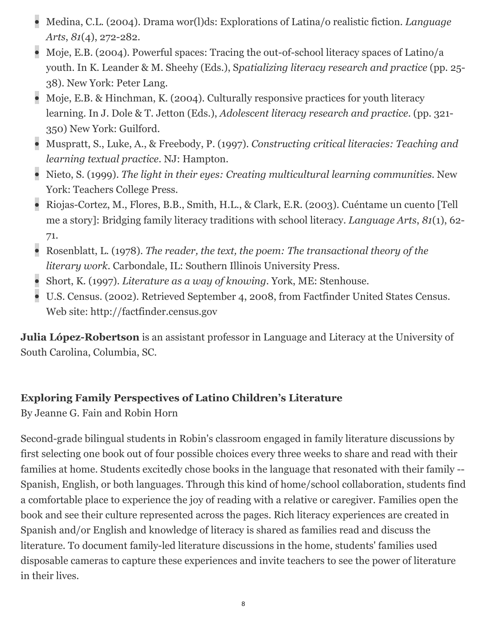- Medina, C.L. (2004). Drama wor(l)ds: Explorations of Latina/o realistic fiction. *Language Arts*, *81*(4), 272-282.
- Moje, E.B. (2004). Powerful spaces: Tracing the out-of-school literacy spaces of Latino/a youth. In K. Leander & M. Sheehy (Eds.), S*patializing literacy research and practice* (pp. 25- 38). New York: Peter Lang.
- Moje, E.B. & Hinchman, K. (2004). Culturally responsive practices for youth literacy learning. In J. Dole & T. Jetton (Eds.), *Adolescent literacy research and practice*. (pp. 321- 350) New York: Guilford.
- Muspratt, S., Luke, A., & Freebody, P. (1997). *Constructing critical literacies: Teaching and learning textual practice*. NJ: Hampton.
- Nieto, S. (1999). *The light in their eyes: Creating multicultural learning communities*. New York: Teachers College Press.
- Riojas-Cortez, M., Flores, B.B., Smith, H.L., & Clark, E.R. (2003). Cuéntame un cuento [Tell me a story]: Bridging family literacy traditions with school literacy. *Language Arts*, *81*(1), 62- 71.
- Rosenblatt, L. (1978). *The reader, the text, the poem: The transactional theory of the literary work*. Carbondale, IL: Southern Illinois University Press.
- Short, K. (1997). *Literature as a way of knowing*. York, ME: Stenhouse.
- U.S. Census. (2002). Retrieved September 4, 2008, from Factfinder United States Census. Web site: http://factfinder.census.gov

**Julia López-Robertson** is an assistant professor in Language and Literacy at the University of South Carolina, Columbia, SC.

## **Exploring Family Perspectives of Latino Children's Literature**

By Jeanne G. Fain and Robin Horn

Second-grade bilingual students in Robin's classroom engaged in family literature discussions by first selecting one book out of four possible choices every three weeks to share and read with their families at home. Students excitedly chose books in the language that resonated with their family -- Spanish, English, or both languages. Through this kind of home/school collaboration, students find a comfortable place to experience the joy of reading with a relative or caregiver. Families open the book and see their culture represented across the pages. Rich literacy experiences are created in Spanish and/or English and knowledge of literacy is shared as families read and discuss the literature. To document family-led literature discussions in the home, students' families used disposable cameras to capture these experiences and invite teachers to see the power of literature in their lives.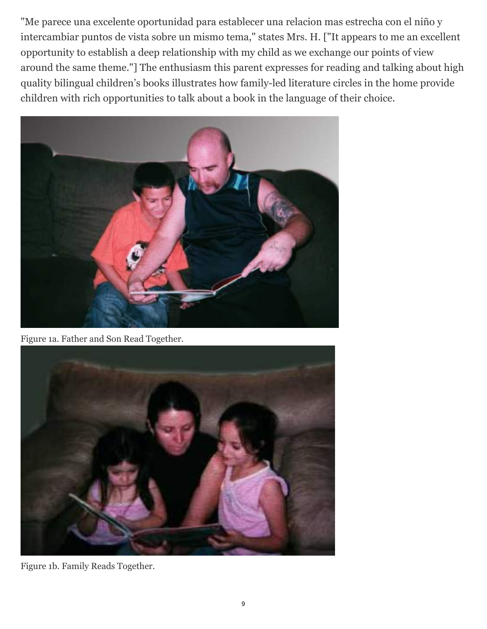"Me parece una excelente oportunidad para establecer una relacion mas estrecha con el niño y intercambiar puntos de vista sobre un mismo tema," states Mrs. H. ["It appears to me an excellent opportunity to establish a deep relationship with my child as we exchange our points of view around the same theme."] The enthusiasm this parent expresses for reading and talking about high quality bilingual children's books illustrates how family-led literature circles in the home provide children with rich opportunities to talk about a book in the language of their choice.



Figure 1a. Father and Son Read Together.



Figure 1b. Family Reads Together.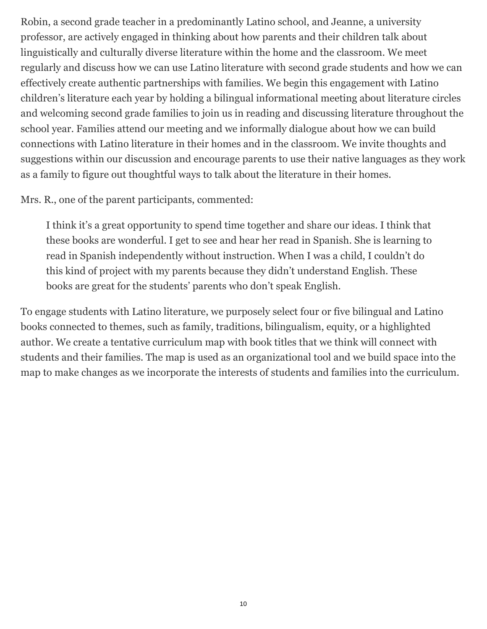Robin, a second grade teacher in a predominantly Latino school, and Jeanne, a university professor, are actively engaged in thinking about how parents and their children talk about linguistically and culturally diverse literature within the home and the classroom. We meet regularly and discuss how we can use Latino literature with second grade students and how we can effectively create authentic partnerships with families. We begin this engagement with Latino children's literature each year by holding a bilingual informational meeting about literature circles and welcoming second grade families to join us in reading and discussing literature throughout the school year. Families attend our meeting and we informally dialogue about how we can build connections with Latino literature in their homes and in the classroom. We invite thoughts and suggestions within our discussion and encourage parents to use their native languages as they work as a family to figure out thoughtful ways to talk about the literature in their homes.

#### Mrs. R., one of the parent participants, commented:

I think it's a great opportunity to spend time together and share our ideas. I think that these books are wonderful. I get to see and hear her read in Spanish. She is learning to read in Spanish independently without instruction. When I was a child, I couldn't do this kind of project with my parents because they didn't understand English. These books are great for the students' parents who don't speak English.

To engage students with Latino literature, we purposely select four or five bilingual and Latino books connected to themes, such as family, traditions, bilingualism, equity, or a highlighted author. We create a tentative curriculum map with book titles that we think will connect with students and their families. The map is used as an organizational tool and we build space into the map to make changes as we incorporate the interests of students and families into the curriculum.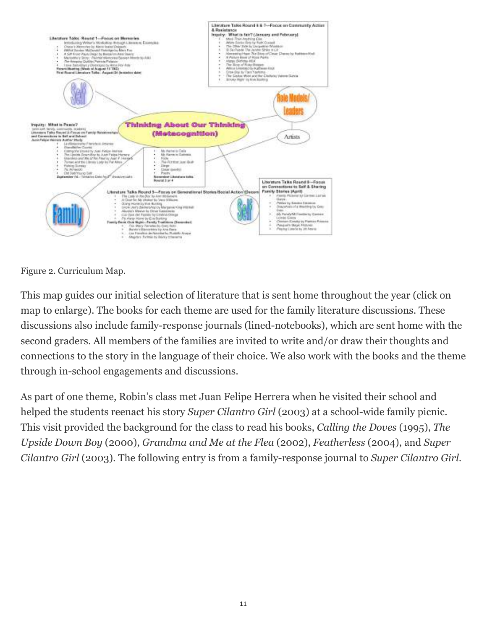

Figure 2. Curriculum Map.

This map guides our initial selection of literature that is sent home throughout the year (click on map to enlarge). The books for each theme are used for the family literature discussions. These discussions also include family-response journals (lined-notebooks), which are sent home with the second graders. All members of the families are invited to write and/or draw their thoughts and connections to the story in the language of their choice. We also work with the books and the theme through in-school engagements and discussions.

As part of one theme, Robin's class met Juan Felipe Herrera when he visited their school and helped the students reenact his story *Super Cilantro Girl* (2003) at a school-wide family picnic. This visit provided the background for the class to read his books, *Calling the Doves* (1995), *The Upside Down Boy* (2000), *Grandma and Me at the Flea* (2002), *Featherless* (2004), and *Super Cilantro Girl* (2003). The following entry is from a family-response journal to *Super Cilantro Girl*.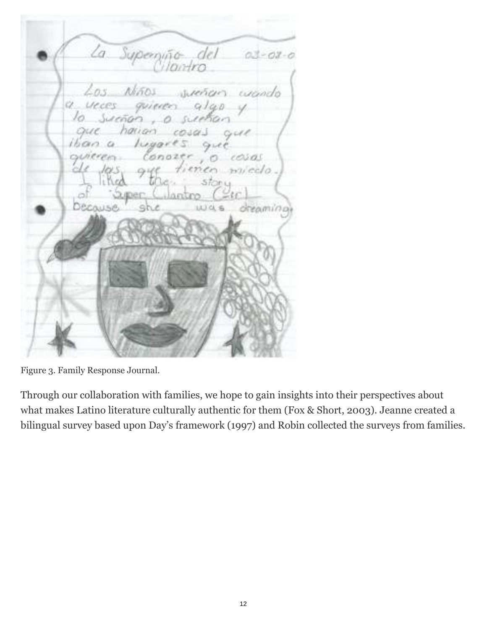ta. Superi  $03 - 03 - 0$  $603.$ woods yeces CX. CN cosas *micclo* dreamina Decause

Figure 3. Family Response Journal.

Through our collaboration with families, we hope to gain insights into their perspectives about what makes Latino literature culturally authentic for them (Fox & Short, 2003). Jeanne created a bilingual survey based upon Day's framework (1997) and Robin collected the surveys from families.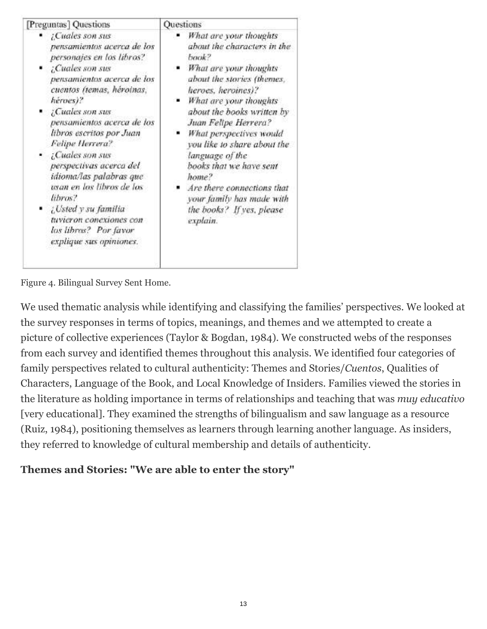| [Preguntas] Questions                                                                                                                                                                                                                                                                                                                                                                                                                                                                                         | Questions                                                                                                                                                                                                                                                                                                                                                                                                                                         |
|---------------------------------------------------------------------------------------------------------------------------------------------------------------------------------------------------------------------------------------------------------------------------------------------------------------------------------------------------------------------------------------------------------------------------------------------------------------------------------------------------------------|---------------------------------------------------------------------------------------------------------------------------------------------------------------------------------------------------------------------------------------------------------------------------------------------------------------------------------------------------------------------------------------------------------------------------------------------------|
| • ¿Cuales son sus<br>pensamientos acerca de los<br>personajes en los libros?<br>Cuales son sus<br>pensamientos acerca de los<br>cuentos (temas, héroinas,<br>héroes)?<br>Cuales son sus<br>pensamientos acerca de los<br>libros escritos por Juan<br>Felipe Herrera?<br>• ¡Cuales son sus<br>perspectivas acerca del<br>idioma/las palabras que<br>usan en los libros de los<br>libros?<br>$\bullet$ <i>Usted y su familia</i><br>tuvieron conexiones con<br>los libros? Por favor<br>explique sus opiniones. | What are your thoughts<br>about the characters in the<br>baak?<br>What are your thoughts<br>about the stories (themes,<br>heroes, heroines)?<br>What are your thoughts<br>about the books written by<br>Juan Felipe Herrera?<br>What perspectives would<br>you like to share about the<br>language of the<br>books that we have sent<br>home?<br>Are there connections that<br>your family has made with<br>the books? If yes, please<br>explain. |

Figure 4. Bilingual Survey Sent Home.

We used thematic analysis while identifying and classifying the families' perspectives. We looked at the survey responses in terms of topics, meanings, and themes and we attempted to create a picture of collective experiences (Taylor & Bogdan, 1984). We constructed webs of the responses from each survey and identified themes throughout this analysis. We identified four categories of family perspectives related to cultural authenticity: Themes and Stories/*Cuentos*, Qualities of Characters, Language of the Book, and Local Knowledge of Insiders. Families viewed the stories in the literature as holding importance in terms of relationships and teaching that was *muy educativo* [very educational]. They examined the strengths of bilingualism and saw language as a resource (Ruiz, 1984), positioning themselves as learners through learning another language. As insiders, they referred to knowledge of cultural membership and details of authenticity.

#### **Themes and Stories: "We are able to enter the story"**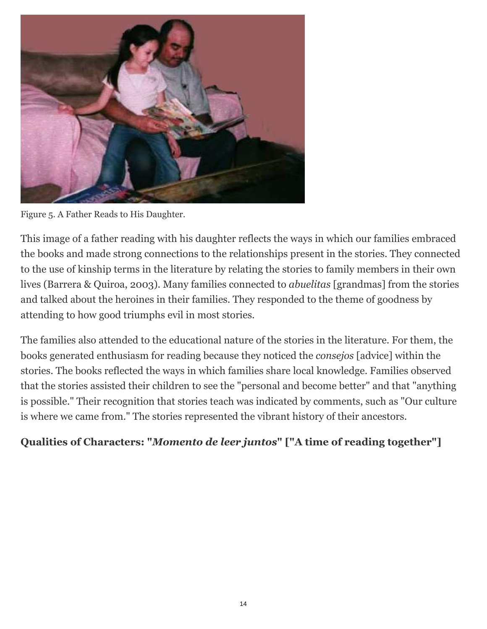

Figure 5. A Father Reads to His Daughter.

This image of a father reading with his daughter reflects the ways in which our families embraced the books and made strong connections to the relationships present in the stories. They connected to the use of kinship terms in the literature by relating the stories to family members in their own lives (Barrera & Quiroa, 2003). Many families connected to *abuelitas* [grandmas] from the stories and talked about the heroines in their families. They responded to the theme of goodness by attending to how good triumphs evil in most stories.

The families also attended to the educational nature of the stories in the literature. For them, the books generated enthusiasm for reading because they noticed the *consejos* [advice] within the stories. The books reflected the ways in which families share local knowledge. Families observed that the stories assisted their children to see the "personal and become better" and that "anything is possible." Their recognition that stories teach was indicated by comments, such as "Our culture is where we came from." The stories represented the vibrant history of their ancestors.

#### **Qualities of Characters: "***Momento de leer juntos***" ["A time of reading together"]**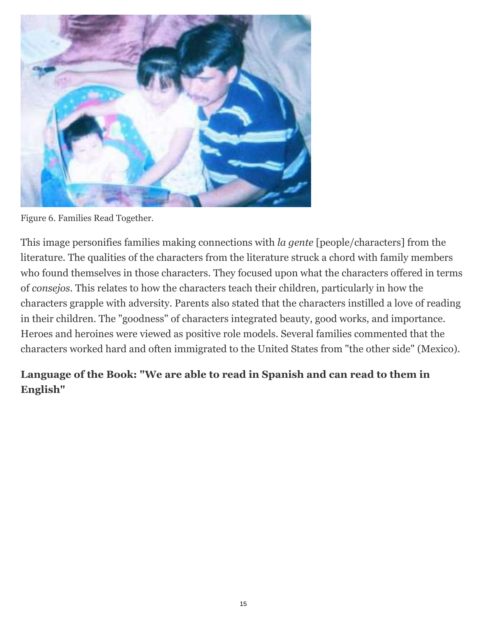

Figure 6. Families Read Together.

This image personifies families making connections with *la gente* [people/characters] from the literature. The qualities of the characters from the literature struck a chord with family members who found themselves in those characters. They focused upon what the characters offered in terms of *consejos*. This relates to how the characters teach their children, particularly in how the characters grapple with adversity. Parents also stated that the characters instilled a love of reading in their children. The "goodness" of characters integrated beauty, good works, and importance. Heroes and heroines were viewed as positive role models. Several families commented that the characters worked hard and often immigrated to the United States from "the other side" (Mexico).

#### **Language of the Book: "We are able to read in Spanish and can read to them in English"**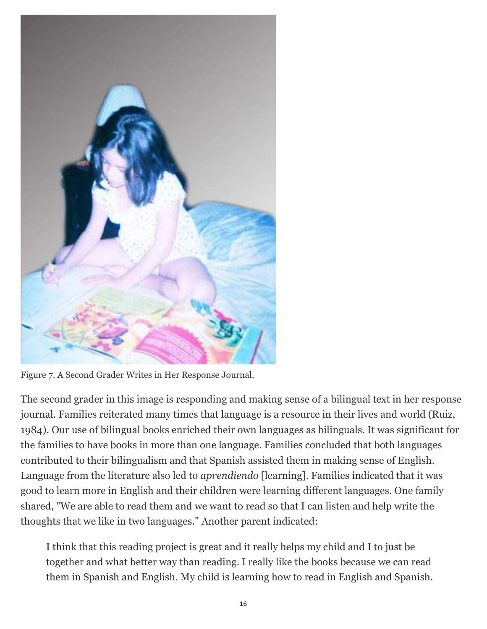

Figure 7. A Second Grader Writes in Her Response Journal.

The second grader in this image is responding and making sense of a bilingual text in her response journal. Families reiterated many times that language is a resource in their lives and world (Ruiz, 1984). Our use of bilingual books enriched their own languages as bilinguals. It was significant for the families to have books in more than one language. Families concluded that both languages contributed to their bilingualism and that Spanish assisted them in making sense of English. Language from the literature also led to *aprendiendo* [learning]. Families indicated that it was good to learn more in English and their children were learning different languages. One family shared, "We are able to read them and we want to read so that I can listen and help write the thoughts that we like in two languages." Another parent indicated:

I think that this reading project is great and it really helps my child and I to just be together and what better way than reading. I really like the books because we can read them in Spanish and English. My child is learning how to read in English and Spanish.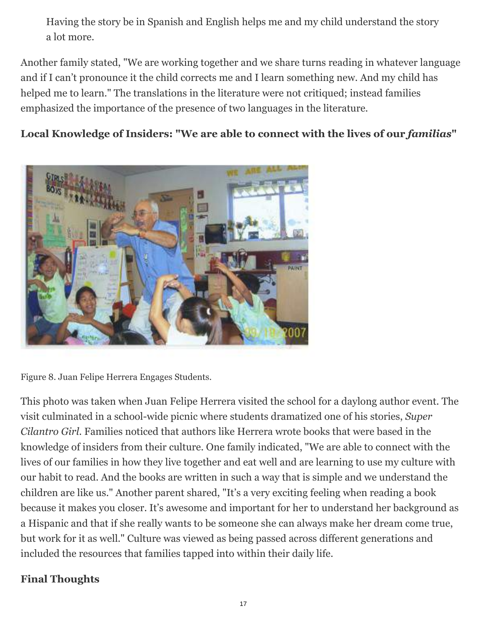Having the story be in Spanish and English helps me and my child understand the story a lot more.

Another family stated, "We are working together and we share turns reading in whatever language and if I can't pronounce it the child corrects me and I learn something new. And my child has helped me to learn." The translations in the literature were not critiqued; instead families emphasized the importance of the presence of two languages in the literature.

#### Local Knowledge of Insiders: "We are able to connect with the lives of our *familias*"



Figure 8. Juan Felipe Herrera Engages Students.

This photo was taken when Juan Felipe Herrera visited the school for a daylong author event. The visit culminated in a school-wide picnic where students dramatized one of his stories, *Super Cilantro Girl*. Families noticed that authors like Herrera wrote books that were based in the knowledge of insiders from their culture. One family indicated, "We are able to connect with the lives of our families in how they live together and eat well and are learning to use my culture with our habit to read. And the books are written in such a way that is simple and we understand the children are like us." Another parent shared, "It's a very exciting feeling when reading a book because it makes you closer. It's awesome and important for her to understand her background as a Hispanic and that if she really wants to be someone she can always make her dream come true, but work for it as well." Culture was viewed as being passed across different generations and included the resources that families tapped into within their daily life.

#### **Final Thoughts**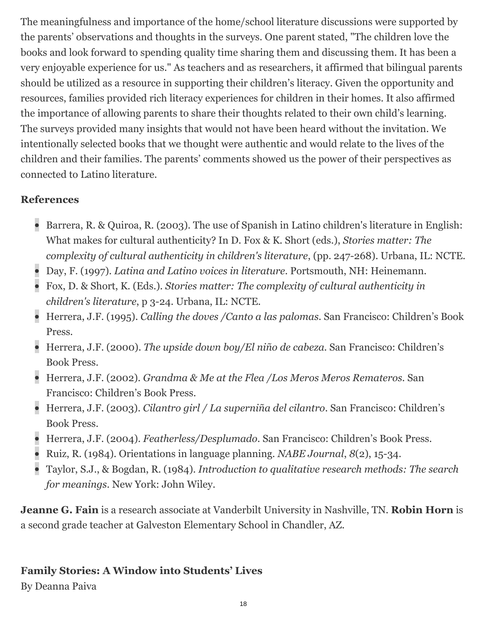The meaningfulness and importance of the home/school literature discussions were supported by the parents' observations and thoughts in the surveys. One parent stated, "The children love the books and look forward to spending quality time sharing them and discussing them. It has been a very enjoyable experience for us." As teachers and as researchers, it affirmed that bilingual parents should be utilized as a resource in supporting their children's literacy. Given the opportunity and resources, families provided rich literacy experiences for children in their homes. It also affirmed the importance of allowing parents to share their thoughts related to their own child's learning. The surveys provided many insights that would not have been heard without the invitation. We intentionally selected books that we thought were authentic and would relate to the lives of the children and their families. The parents' comments showed us the power of their perspectives as connected to Latino literature.

#### **References**

- Barrera, R. & Quiroa, R. (2003). The use of Spanish in Latino children's literature in English: What makes for cultural authenticity? In D. Fox & K. Short (eds.), *Stories matter: The complexity of cultural authenticity in children's literature*, (pp. 247-268). Urbana, IL: NCTE.
- Day, F. (1997). *Latina and Latino voices in literature*. Portsmouth, NH: Heinemann.
- Fox, D. & Short, K. (Eds.). *Stories matter: The complexity of cultural authenticity in children's literature*, p 3-24. Urbana, IL: NCTE.
- Herrera, J.F. (1995). *Calling the doves /Canto a las palomas*. San Francisco: Children's Book Press.
- Herrera, J.F. (2000). *The upside down boy/El niño de cabeza*. San Francisco: Children's Book Press.
- Herrera, J.F. (2002). *Grandma & Me at the Flea /Los Meros Meros Remateros*. San Francisco: Children's Book Press.
- Herrera, J.F. (2003). *Cilantro girl / La superniña del cilantro*. San Francisco: Children's Book Press.
- Herrera, J.F. (2004). *Featherless/Desplumado*. San Francisco: Children's Book Press.
- Ruiz, R. (1984). Orientations in language planning. *NABE Journal*, *8*(2), 15-34.
- Taylor, S.J., & Bogdan, R. (1984). *Introduction to qualitative research methods: The search for meanings*. New York: John Wiley.

**Jeanne G. Fain** is a research associate at Vanderbilt University in Nashville, TN. **Robin Horn** is a second grade teacher at Galveston Elementary School in Chandler, AZ.

## **Family Stories: A Window into Students' Lives**

By Deanna Paiva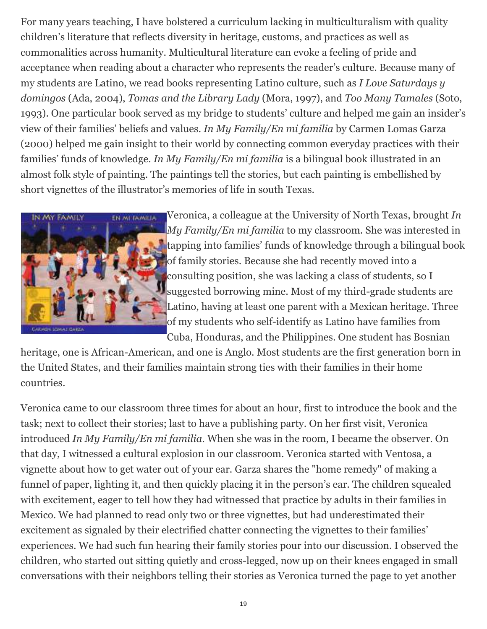For many years teaching, I have bolstered a curriculum lacking in multiculturalism with quality children's literature that reflects diversity in heritage, customs, and practices as well as commonalities across humanity. Multicultural literature can evoke a feeling of pride and acceptance when reading about a character who represents the reader's culture. Because many of my students are Latino, we read books representing Latino culture, such as *I Love Saturdays y domingos* (Ada, 2004), *Tomas and the Library Lady* (Mora, 1997), and *Too Many Tamales* (Soto, 1993). One particular book served as my bridge to students' culture and helped me gain an insider's view of their families' beliefs and values. *In My Family/En mi familia* by Carmen Lomas Garza (2000) helped me gain insight to their world by connecting common everyday practices with their families' funds of knowledge. *In My Family/En mi familia* is a bilingual book illustrated in an almost folk style of painting. The paintings tell the stories, but each painting is embellished by short vignettes of the illustrator's memories of life in south Texas.



Veronica, a colleague at the University of North Texas, brought *In My Family/En mi familia* to my classroom. She was interested in tapping into families' funds of knowledge through a bilingual book of family stories. Because she had recently moved into a consulting position, she was lacking a class of students, so I suggested borrowing mine. Most of my third-grade students are Latino, having at least one parent with a Mexican heritage. Three of my students who self-identify as Latino have families from Cuba, Honduras, and the Philippines. One student has Bosnian

heritage, one is African-American, and one is Anglo. Most students are the first generation born in the United States, and their families maintain strong ties with their families in their home countries.

Veronica came to our classroom three times for about an hour, first to introduce the book and the task; next to collect their stories; last to have a publishing party. On her first visit, Veronica introduced *In My Family/En mi familia*. When she was in the room, I became the observer. On that day, I witnessed a cultural explosion in our classroom. Veronica started with Ventosa, a vignette about how to get water out of your ear. Garza shares the "home remedy" of making a funnel of paper, lighting it, and then quickly placing it in the person's ear. The children squealed with excitement, eager to tell how they had witnessed that practice by adults in their families in Mexico. We had planned to read only two or three vignettes, but had underestimated their excitement as signaled by their electrified chatter connecting the vignettes to their families' experiences. We had such fun hearing their family stories pour into our discussion. I observed the children, who started out sitting quietly and cross-legged, now up on their knees engaged in small conversations with their neighbors telling their stories as Veronica turned the page to yet another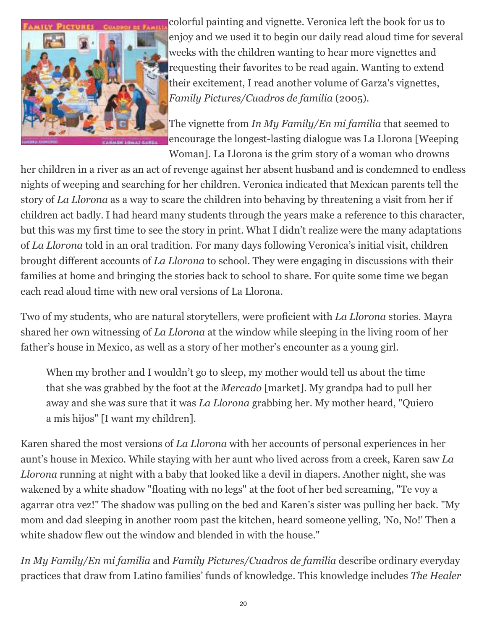

colorful painting and vignette. Veronica left the book for us to enjoy and we used it to begin our daily read aloud time for several weeks with the children wanting to hear more vignettes and requesting their favorites to be read again. Wanting to extend their excitement, I read another volume of Garza's vignettes, *Family Pictures/Cuadros de familia* (2005).

The vignette from *In My Family/En mi familia* that seemed to encourage the longest-lasting dialogue was La Llorona [Weeping Woman]. La Llorona is the grim story of a woman who drowns

her children in a river as an act of revenge against her absent husband and is condemned to endless nights of weeping and searching for her children. Veronica indicated that Mexican parents tell the story of *La Llorona* as a way to scare the children into behaving by threatening a visit from her if children act badly. I had heard many students through the years make a reference to this character, but this was my first time to see the story in print. What I didn't realize were the many adaptations of *La Llorona* told in an oral tradition. For many days following Veronica's initial visit, children brought different accounts of *La Llorona* to school. They were engaging in discussions with their families at home and bringing the stories back to school to share. For quite some time we began each read aloud time with new oral versions of La Llorona.

Two of my students, who are natural storytellers, were proficient with *La Llorona* stories. Mayra shared her own witnessing of *La Llorona* at the window while sleeping in the living room of her father's house in Mexico, as well as a story of her mother's encounter as a young girl.

When my brother and I wouldn't go to sleep, my mother would tell us about the time that she was grabbed by the foot at the *Mercado* [market]. My grandpa had to pull her away and she was sure that it was *La Llorona* grabbing her. My mother heard, "Quiero a mis hijos" [I want my children].

Karen shared the most versions of *La Llorona* with her accounts of personal experiences in her aunt's house in Mexico. While staying with her aunt who lived across from a creek, Karen saw *La Llorona* running at night with a baby that looked like a devil in diapers. Another night, she was wakened by a white shadow "floating with no legs" at the foot of her bed screaming, "Te voy a agarrar otra vez!" The shadow was pulling on the bed and Karen's sister was pulling her back. "My mom and dad sleeping in another room past the kitchen, heard someone yelling, 'No, No!' Then a white shadow flew out the window and blended in with the house."

*In My Family/En mi familia* and *Family Pictures/Cuadros de familia* describe ordinary everyday practices that draw from Latino families' funds of knowledge. This knowledge includes *The Healer*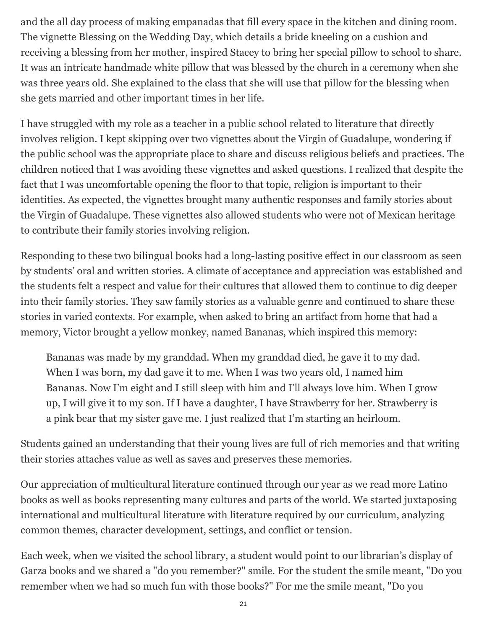and the all day process of making empanadas that fill every space in the kitchen and dining room. The vignette Blessing on the Wedding Day, which details a bride kneeling on a cushion and receiving a blessing from her mother, inspired Stacey to bring her special pillow to school to share. It was an intricate handmade white pillow that was blessed by the church in a ceremony when she was three years old. She explained to the class that she will use that pillow for the blessing when she gets married and other important times in her life.

I have struggled with my role as a teacher in a public school related to literature that directly involves religion. I kept skipping over two vignettes about the Virgin of Guadalupe, wondering if the public school was the appropriate place to share and discuss religious beliefs and practices. The children noticed that I was avoiding these vignettes and asked questions. I realized that despite the fact that I was uncomfortable opening the floor to that topic, religion is important to their identities. As expected, the vignettes brought many authentic responses and family stories about the Virgin of Guadalupe. These vignettes also allowed students who were not of Mexican heritage to contribute their family stories involving religion.

Responding to these two bilingual books had a long-lasting positive effect in our classroom as seen by students' oral and written stories. A climate of acceptance and appreciation was established and the students felt a respect and value for their cultures that allowed them to continue to dig deeper into their family stories. They saw family stories as a valuable genre and continued to share these stories in varied contexts. For example, when asked to bring an artifact from home that had a memory, Victor brought a yellow monkey, named Bananas, which inspired this memory:

Bananas was made by my granddad. When my granddad died, he gave it to my dad. When I was born, my dad gave it to me. When I was two years old, I named him Bananas. Now I'm eight and I still sleep with him and I'll always love him. When I grow up, I will give it to my son. If I have a daughter, I have Strawberry for her. Strawberry is a pink bear that my sister gave me. I just realized that I'm starting an heirloom.

Students gained an understanding that their young lives are full of rich memories and that writing their stories attaches value as well as saves and preserves these memories.

Our appreciation of multicultural literature continued through our year as we read more Latino books as well as books representing many cultures and parts of the world. We started juxtaposing international and multicultural literature with literature required by our curriculum, analyzing common themes, character development, settings, and conflict or tension.

Each week, when we visited the school library, a student would point to our librarian's display of Garza books and we shared a "do you remember?" smile. For the student the smile meant, "Do you remember when we had so much fun with those books?" For me the smile meant, "Do you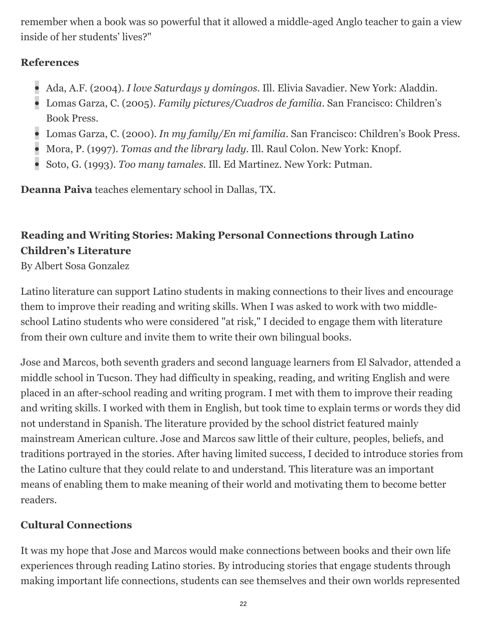remember when a book was so powerful that it allowed a middle-aged Anglo teacher to gain a view inside of her students' lives?"

#### **References**

- Ada, A.F. (2004). *I love Saturdays y domingos*. Ill. Elivia Savadier. New York: Aladdin.
- Lomas Garza, C. (2005). *Family pictures/Cuadros de familia*. San Francisco: Children's Book Press.
- Lomas Garza, C. (2000). *In my family/En mi familia*. San Francisco: Children's Book Press.
- Mora, P. (1997). *Tomas and the library lady*. Ill. Raul Colon. New York: Knopf.
- Soto, G. (1993). *Too many tamales*. Ill. Ed Martinez. New York: Putman.

**Deanna Paiva** teaches elementary school in Dallas, TX.

# **Reading and Writing Stories: Making Personal Connections through Latino Children's Literature**

By Albert Sosa Gonzalez

Latino literature can support Latino students in making connections to their lives and encourage them to improve their reading and writing skills. When I was asked to work with two middleschool Latino students who were considered "at risk," I decided to engage them with literature from their own culture and invite them to write their own bilingual books.

Jose and Marcos, both seventh graders and second language learners from El Salvador, attended a middle school in Tucson. They had difficulty in speaking, reading, and writing English and were placed in an after-school reading and writing program. I met with them to improve their reading and writing skills. I worked with them in English, but took time to explain terms or words they did not understand in Spanish. The literature provided by the school district featured mainly mainstream American culture. Jose and Marcos saw little of their culture, peoples, beliefs, and traditions portrayed in the stories. After having limited success, I decided to introduce stories from the Latino culture that they could relate to and understand. This literature was an important means of enabling them to make meaning of their world and motivating them to become better readers.

# **Cultural Connections**

It was my hope that Jose and Marcos would make connections between books and their own life experiences through reading Latino stories. By introducing stories that engage students through making important life connections, students can see themselves and their own worlds represented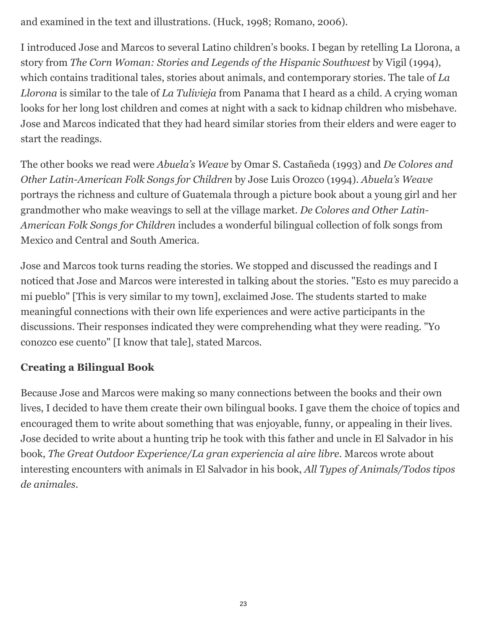and examined in the text and illustrations. (Huck, 1998; Romano, 2006).

I introduced Jose and Marcos to several Latino children's books. I began by retelling La Llorona, a story from *The Corn Woman: Stories and Legends of the Hispanic Southwest* by Vigil (1994), which contains traditional tales, stories about animals, and contemporary stories. The tale of *La Llorona* is similar to the tale of *La Tulivieja* from Panama that I heard as a child. A crying woman looks for her long lost children and comes at night with a sack to kidnap children who misbehave. Jose and Marcos indicated that they had heard similar stories from their elders and were eager to start the readings.

The other books we read were *Abuela's Weave* by Omar S. Castañeda (1993) and *De Colores and Other Latin-American Folk Songs for Children* by Jose Luis Orozco (1994). *Abuela's Weave* portrays the richness and culture of Guatemala through a picture book about a young girl and her grandmother who make weavings to sell at the village market. *De Colores and Other Latin-American Folk Songs for Children* includes a wonderful bilingual collection of folk songs from Mexico and Central and South America.

Jose and Marcos took turns reading the stories. We stopped and discussed the readings and I noticed that Jose and Marcos were interested in talking about the stories. "Esto es muy parecido a mi pueblo" [This is very similar to my town], exclaimed Jose. The students started to make meaningful connections with their own life experiences and were active participants in the discussions. Their responses indicated they were comprehending what they were reading. "Yo conozco ese cuento" [I know that tale], stated Marcos.

## **Creating a Bilingual Book**

Because Jose and Marcos were making so many connections between the books and their own lives, I decided to have them create their own bilingual books. I gave them the choice of topics and encouraged them to write about something that was enjoyable, funny, or appealing in their lives. Jose decided to write about a hunting trip he took with this father and uncle in El Salvador in his book, *The Great Outdoor Experience/La gran experiencia al aire libre*. Marcos wrote about interesting encounters with animals in El Salvador in his book, *All Types of Animals/Todos tipos de animales*.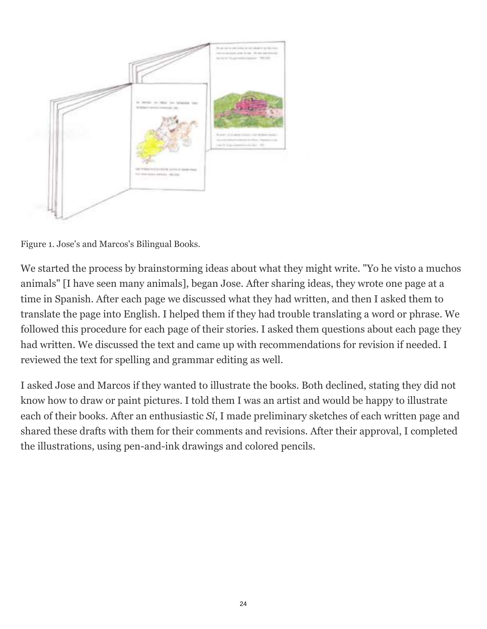

Figure 1. Jose's and Marcos's Bilingual Books.

We started the process by brainstorming ideas about what they might write. "Yo he visto a muchos animals" [I have seen many animals], began Jose. After sharing ideas, they wrote one page at a time in Spanish. After each page we discussed what they had written, and then I asked them to translate the page into English. I helped them if they had trouble translating a word or phrase. We followed this procedure for each page of their stories. I asked them questions about each page they had written. We discussed the text and came up with recommendations for revision if needed. I reviewed the text for spelling and grammar editing as well.

I asked Jose and Marcos if they wanted to illustrate the books. Both declined, stating they did not know how to draw or paint pictures. I told them I was an artist and would be happy to illustrate each of their books. After an enthusiastic *Sí*, I made preliminary sketches of each written page and shared these drafts with them for their comments and revisions. After their approval, I completed the illustrations, using pen-and-ink drawings and colored pencils.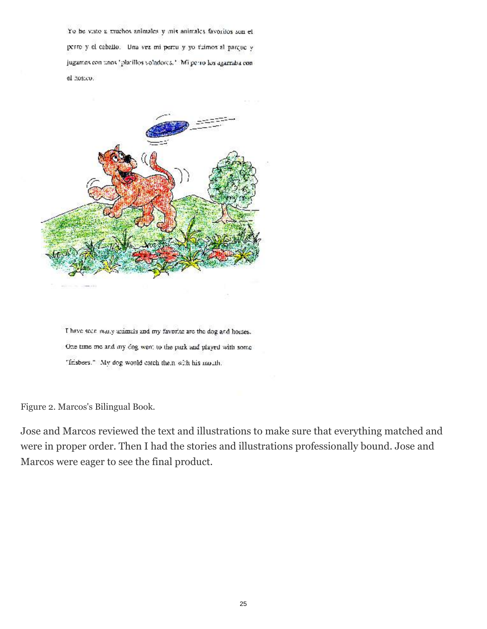Yo he visto a muchos animales  $y$  mix animales favoritos son elperto y el caballo. Una vez mi pertu y yo fuimos al parque y jugames con unos "platillos voladores,". Mi perro los agarraba conel hosico.



I have seen many animals and my favorite are the dog and horses. One time me and my dog went to the park and played with some "frisbees." My dog would catch them with his multh.

Figure 2. Marcos's Bilingual Book.

Jose and Marcos reviewed the text and illustrations to make sure that everything matched and were in proper order. Then I had the stories and illustrations professionally bound. Jose and Marcos were eager to see the final product.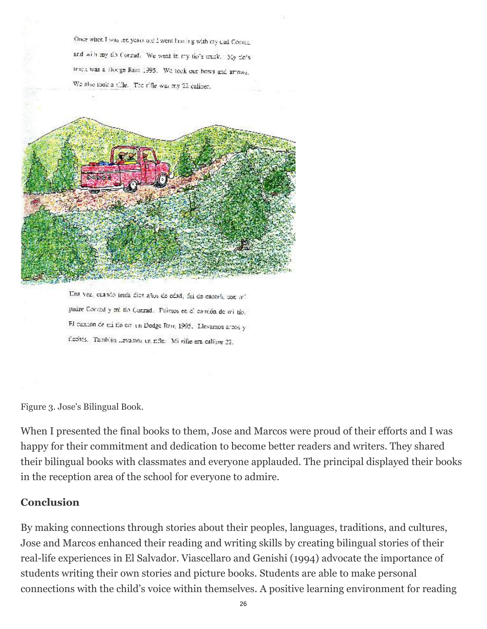Once when I was ten years old I went has ing with my cad Cosmic. and with my tip Conrad. We went in my tip's truck. My fin's track was a Docge Ram 1995. We took our bows and armwa-We also took a tifle. The rifle was my 22 caliber.



Una vez, cuando tenía dica años de odad, fui de eacería con mi padre Contad y militio Conrad. Paimos en el camión de militio. El camión de mi tío em un Dodge Rem 1995. Llevamos argos y floches. Tambléa levames un rifle. Mi rifle era calibre 22.

Figure 3. Jose's Bilingual Book.

When I presented the final books to them, Jose and Marcos were proud of their efforts and I was happy for their commitment and dedication to become better readers and writers. They shared their bilingual books with classmates and everyone applauded. The principal displayed their books in the reception area of the school for everyone to admire.

#### **Conclusion**

By making connections through stories about their peoples, languages, traditions, and cultures, Jose and Marcos enhanced their reading and writing skills by creating bilingual stories of their real-life experiences in El Salvador. Viascellaro and Genishi (1994) advocate the importance of students writing their own stories and picture books. Students are able to make personal connections with the child's voice within themselves. A positive learning environment for reading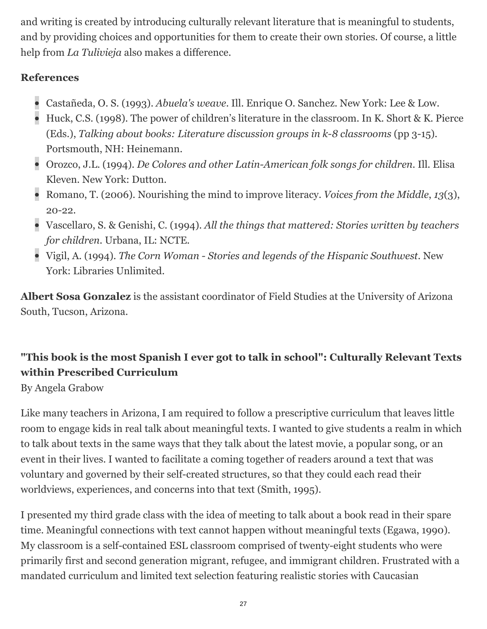and writing is created by introducing culturally relevant literature that is meaningful to students, and by providing choices and opportunities for them to create their own stories. Of course, a little help from *La Tulivieja* also makes a difference.

## **References**

- Castañeda, O. S. (1993). *Abuela's weave*. Ill. Enrique O. Sanchez. New York: Lee & Low.
- Huck, C.S. (1998). The power of children's literature in the classroom. In K. Short & K. Pierce (Eds.), *Talking about books: Literature discussion groups in k-8 classrooms* (pp 3-15). Portsmouth, NH: Heinemann.
- Orozco, J.L. (1994). *De Colores and other Latin-American folk songs for children*. Ill. Elisa Kleven. New York: Dutton.
- Romano, T. (2006). Nourishing the mind to improve literacy. *Voices from the Middle*, *13*(3), 20-22.
- Vascellaro, S. & Genishi, C. (1994). *All the things that mattered: Stories written by teachers for children*. Urbana, IL: NCTE.
- Vigil, A. (1994). *The Corn Woman Stories and legends of the Hispanic Southwest*. New York: Libraries Unlimited.

**Albert Sosa Gonzalez** is the assistant coordinator of Field Studies at the University of Arizona South, Tucson, Arizona.

# **"This book is the most Spanish I ever got to talk in school": Culturally Relevant Texts within Prescribed Curriculum**

By Angela Grabow

Like many teachers in Arizona, I am required to follow a prescriptive curriculum that leaves little room to engage kids in real talk about meaningful texts. I wanted to give students a realm in which to talk about texts in the same ways that they talk about the latest movie, a popular song, or an event in their lives. I wanted to facilitate a coming together of readers around a text that was voluntary and governed by their self-created structures, so that they could each read their worldviews, experiences, and concerns into that text (Smith, 1995).

I presented my third grade class with the idea of meeting to talk about a book read in their spare time. Meaningful connections with text cannot happen without meaningful texts (Egawa, 1990). My classroom is a self-contained ESL classroom comprised of twenty-eight students who were primarily first and second generation migrant, refugee, and immigrant children. Frustrated with a mandated curriculum and limited text selection featuring realistic stories with Caucasian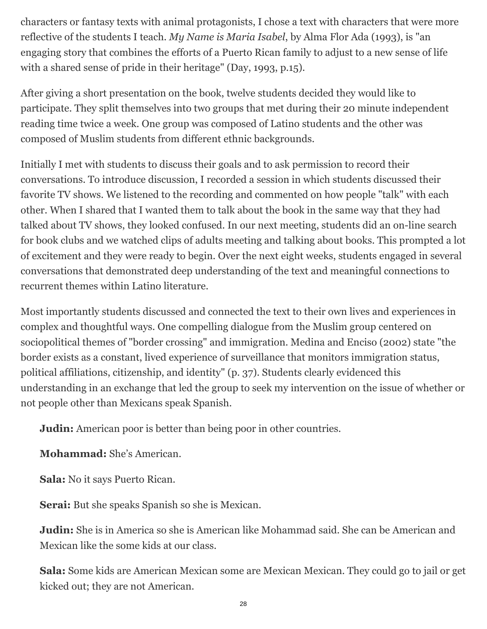characters or fantasy texts with animal protagonists, I chose a text with characters that were more reflective of the students I teach. *My Name is Maria Isabel*, by Alma Flor Ada (1993), is "an engaging story that combines the efforts of a Puerto Rican family to adjust to a new sense of life with a shared sense of pride in their heritage" (Day, 1993, p.15).

After giving a short presentation on the book, twelve students decided they would like to participate. They split themselves into two groups that met during their 20 minute independent reading time twice a week. One group was composed of Latino students and the other was composed of Muslim students from different ethnic backgrounds.

Initially I met with students to discuss their goals and to ask permission to record their conversations. To introduce discussion, I recorded a session in which students discussed their favorite TV shows. We listened to the recording and commented on how people "talk" with each other. When I shared that I wanted them to talk about the book in the same way that they had talked about TV shows, they looked confused. In our next meeting, students did an on-line search for book clubs and we watched clips of adults meeting and talking about books. This prompted a lot of excitement and they were ready to begin. Over the next eight weeks, students engaged in several conversations that demonstrated deep understanding of the text and meaningful connections to recurrent themes within Latino literature.

Most importantly students discussed and connected the text to their own lives and experiences in complex and thoughtful ways. One compelling dialogue from the Muslim group centered on sociopolitical themes of "border crossing" and immigration. Medina and Enciso (2002) state "the border exists as a constant, lived experience of surveillance that monitors immigration status, political affiliations, citizenship, and identity" (p. 37). Students clearly evidenced this understanding in an exchange that led the group to seek my intervention on the issue of whether or not people other than Mexicans speak Spanish.

**Judin:** American poor is better than being poor in other countries.

**Mohammad:** She's American.

**Sala:** No it says Puerto Rican.

**Serai:** But she speaks Spanish so she is Mexican.

**Judin:** She is in America so she is American like Mohammad said. She can be American and Mexican like the some kids at our class.

**Sala:** Some kids are American Mexican some are Mexican Mexican. They could go to jail or get kicked out; they are not American.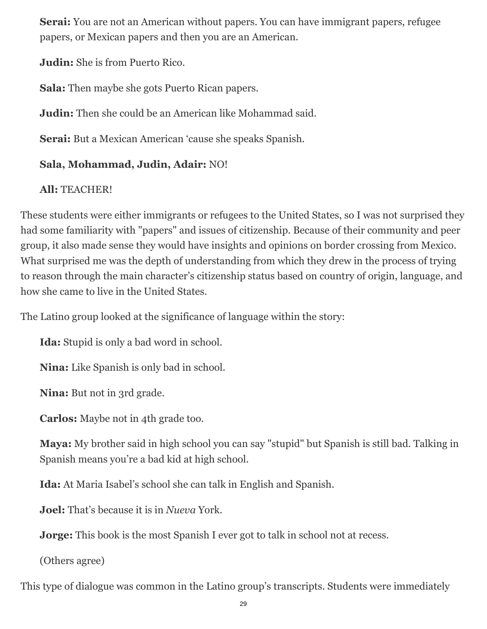**Serai:** You are not an American without papers. You can have immigrant papers, refugee papers, or Mexican papers and then you are an American.

**Judin:** She is from Puerto Rico.

**Sala:** Then maybe she gots Puerto Rican papers.

**Judin:** Then she could be an American like Mohammad said.

**Serai:** But a Mexican American 'cause she speaks Spanish.

# **Sala, Mohammad, Judin, Adair:** NO!

**All:** TEACHER!

These students were either immigrants or refugees to the United States, so I was not surprised they had some familiarity with "papers" and issues of citizenship. Because of their community and peer group, it also made sense they would have insights and opinions on border crossing from Mexico. What surprised me was the depth of understanding from which they drew in the process of trying to reason through the main character's citizenship status based on country of origin, language, and how she came to live in the United States.

The Latino group looked at the significance of language within the story:

**Ida:** Stupid is only a bad word in school.

**Nina:** Like Spanish is only bad in school.

**Nina:** But not in 3rd grade.

**Carlos:** Maybe not in 4th grade too.

**Maya:** My brother said in high school you can say "stupid" but Spanish is still bad. Talking in Spanish means you're a bad kid at high school.

**Ida:** At Maria Isabel's school she can talk in English and Spanish.

**Joel:** That's because it is in *Nueva* York.

**Jorge:** This book is the most Spanish I ever got to talk in school not at recess.

(Others agree)

This type of dialogue was common in the Latino group's transcripts. Students were immediately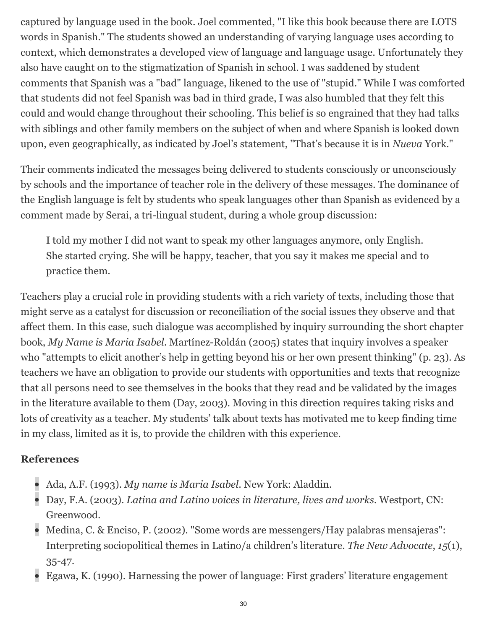captured by language used in the book. Joel commented, "I like this book because there are LOTS words in Spanish." The students showed an understanding of varying language uses according to context, which demonstrates a developed view of language and language usage. Unfortunately they also have caught on to the stigmatization of Spanish in school. I was saddened by student comments that Spanish was a "bad" language, likened to the use of "stupid." While I was comforted that students did not feel Spanish was bad in third grade, I was also humbled that they felt this could and would change throughout their schooling. This belief is so engrained that they had talks with siblings and other family members on the subject of when and where Spanish is looked down upon, even geographically, as indicated by Joel's statement, "That's because it is in *Nueva* York."

Their comments indicated the messages being delivered to students consciously or unconsciously by schools and the importance of teacher role in the delivery of these messages. The dominance of the English language is felt by students who speak languages other than Spanish as evidenced by a comment made by Serai, a tri-lingual student, during a whole group discussion:

I told my mother I did not want to speak my other languages anymore, only English. She started crying. She will be happy, teacher, that you say it makes me special and to practice them.

Teachers play a crucial role in providing students with a rich variety of texts, including those that might serve as a catalyst for discussion or reconciliation of the social issues they observe and that affect them. In this case, such dialogue was accomplished by inquiry surrounding the short chapter book, *My Name is Maria Isabel*. Martínez-Roldán (2005) states that inquiry involves a speaker who "attempts to elicit another's help in getting beyond his or her own present thinking" (p. 23). As teachers we have an obligation to provide our students with opportunities and texts that recognize that all persons need to see themselves in the books that they read and be validated by the images in the literature available to them (Day, 2003). Moving in this direction requires taking risks and lots of creativity as a teacher. My students' talk about texts has motivated me to keep finding time in my class, limited as it is, to provide the children with this experience.

#### **References**

- Ada, A.F. (1993). *My name is Maria Isabel*. New York: Aladdin.
- Day, F.A. (2003). *Latina and Latino voices in literature, lives and works*. Westport, CN: Greenwood.
- Medina, C. & Enciso, P. (2002). "Some words are messengers/Hay palabras mensajeras": Interpreting sociopolitical themes in Latino/a children's literature. *The New Advocate*, *15*(1), 35-47.
- Egawa, K. (1990). Harnessing the power of language: First graders' literature engagement